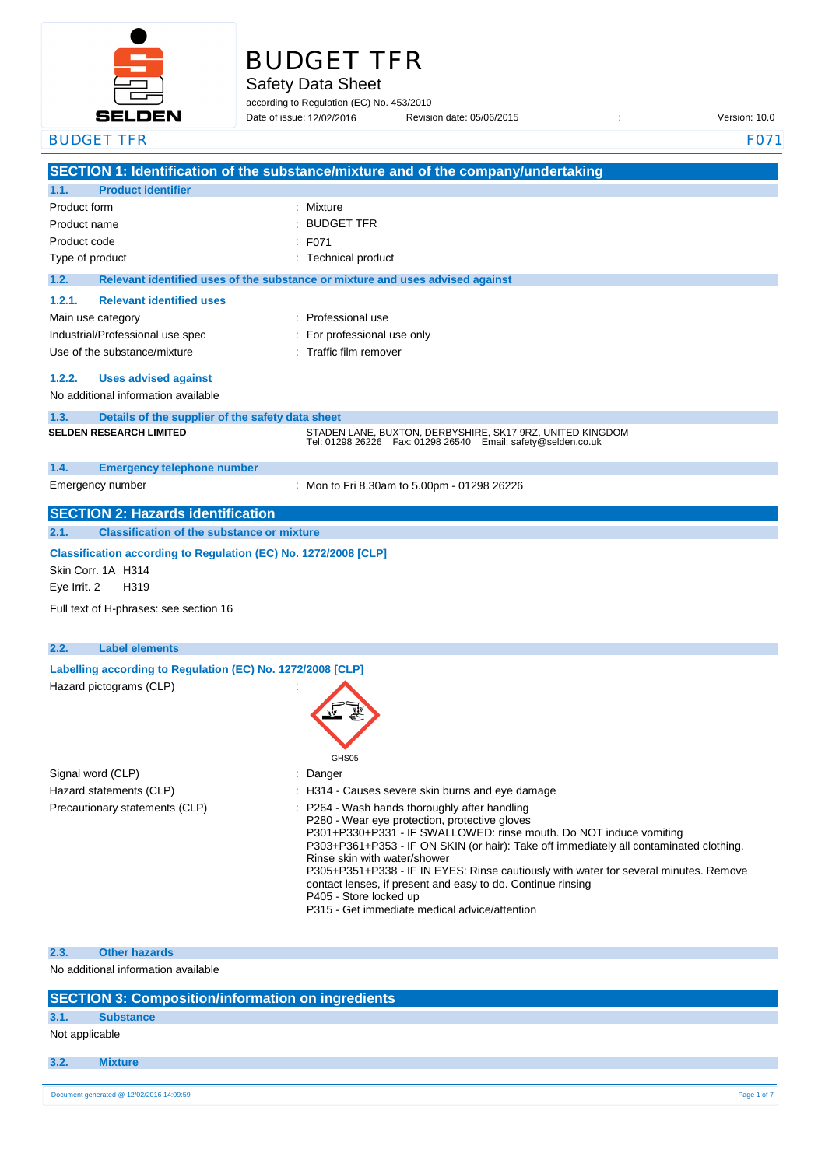

# BUDGET TFR

Safety Data Sheet

according to Regulation (EC) No. 453/2010 Date of issue: 12/02/2016

Date of issue: Revision date: 05/06/2015 : Version: 10.0

| <b>BUDGET TFR</b>                                                                                                                                       |                                                                                                                                                                                                                                                                                                                                                                                                                                                                                                                                                                                                  | F071 |
|---------------------------------------------------------------------------------------------------------------------------------------------------------|--------------------------------------------------------------------------------------------------------------------------------------------------------------------------------------------------------------------------------------------------------------------------------------------------------------------------------------------------------------------------------------------------------------------------------------------------------------------------------------------------------------------------------------------------------------------------------------------------|------|
|                                                                                                                                                         | SECTION 1: Identification of the substance/mixture and of the company/undertaking                                                                                                                                                                                                                                                                                                                                                                                                                                                                                                                |      |
| <b>Product identifier</b><br>1.1.                                                                                                                       |                                                                                                                                                                                                                                                                                                                                                                                                                                                                                                                                                                                                  |      |
| Product form<br>Product name<br>Product code<br>Type of product                                                                                         | Mixture<br><b>BUDGET TFR</b><br>F071<br>: Technical product                                                                                                                                                                                                                                                                                                                                                                                                                                                                                                                                      |      |
| 1.2.                                                                                                                                                    | Relevant identified uses of the substance or mixture and uses advised against                                                                                                                                                                                                                                                                                                                                                                                                                                                                                                                    |      |
| 1.2.1.<br><b>Relevant identified uses</b><br>Main use category<br>Industrial/Professional use spec<br>Use of the substance/mixture                      | Professional use<br>For professional use only<br>Traffic film remover                                                                                                                                                                                                                                                                                                                                                                                                                                                                                                                            |      |
| <b>Uses advised against</b><br>1.2.2.<br>No additional information available                                                                            |                                                                                                                                                                                                                                                                                                                                                                                                                                                                                                                                                                                                  |      |
| 1.3.<br>Details of the supplier of the safety data sheet<br><b>SELDEN RESEARCH LIMITED</b>                                                              | STADEN LANE, BUXTON, DERBYSHIRE, SK17 9RZ, UNITED KINGDOM<br>Tel: 01298 26226  Fax: 01298 26540  Email: safety@selden.co.uk                                                                                                                                                                                                                                                                                                                                                                                                                                                                      |      |
| 1.4.<br><b>Emergency telephone number</b>                                                                                                               |                                                                                                                                                                                                                                                                                                                                                                                                                                                                                                                                                                                                  |      |
| Emergency number                                                                                                                                        | : Mon to Fri 8.30am to 5.00pm - 01298 26226                                                                                                                                                                                                                                                                                                                                                                                                                                                                                                                                                      |      |
| <b>SECTION 2: Hazards identification</b>                                                                                                                |                                                                                                                                                                                                                                                                                                                                                                                                                                                                                                                                                                                                  |      |
| 2.1.<br><b>Classification of the substance or mixture</b>                                                                                               |                                                                                                                                                                                                                                                                                                                                                                                                                                                                                                                                                                                                  |      |
| Classification according to Regulation (EC) No. 1272/2008 [CLP]<br>Skin Corr. 1A H314<br>Eye Irrit. 2<br>H319<br>Full text of H-phrases: see section 16 |                                                                                                                                                                                                                                                                                                                                                                                                                                                                                                                                                                                                  |      |
|                                                                                                                                                         |                                                                                                                                                                                                                                                                                                                                                                                                                                                                                                                                                                                                  |      |
| <b>Label elements</b><br>2.2.                                                                                                                           |                                                                                                                                                                                                                                                                                                                                                                                                                                                                                                                                                                                                  |      |
| Labelling according to Regulation (EC) No. 1272/2008 [CLP]<br>Hazard pictograms (CLP)                                                                   | GHS05                                                                                                                                                                                                                                                                                                                                                                                                                                                                                                                                                                                            |      |
| Signal word (CLP)<br>Hazard statements (CLP)<br>Precautionary statements (CLP)                                                                          | : Danger<br>: H314 - Causes severe skin burns and eye damage<br>: P264 - Wash hands thoroughly after handling<br>P280 - Wear eye protection, protective gloves<br>P301+P330+P331 - IF SWALLOWED: rinse mouth. Do NOT induce vomiting<br>P303+P361+P353 - IF ON SKIN (or hair): Take off immediately all contaminated clothing.<br>Rinse skin with water/shower<br>P305+P351+P338 - IF IN EYES: Rinse cautiously with water for several minutes. Remove<br>contact lenses, if present and easy to do. Continue rinsing<br>P405 - Store locked up<br>P315 - Get immediate medical advice/attention |      |

**2.3. Other hazards**

No additional information available

|  | <b>SECTION 3: Composition/information on ingredients</b> |
|--|----------------------------------------------------------|
|  |                                                          |

### **3.1. Substance**

Not applicable

**3.2. Mixture**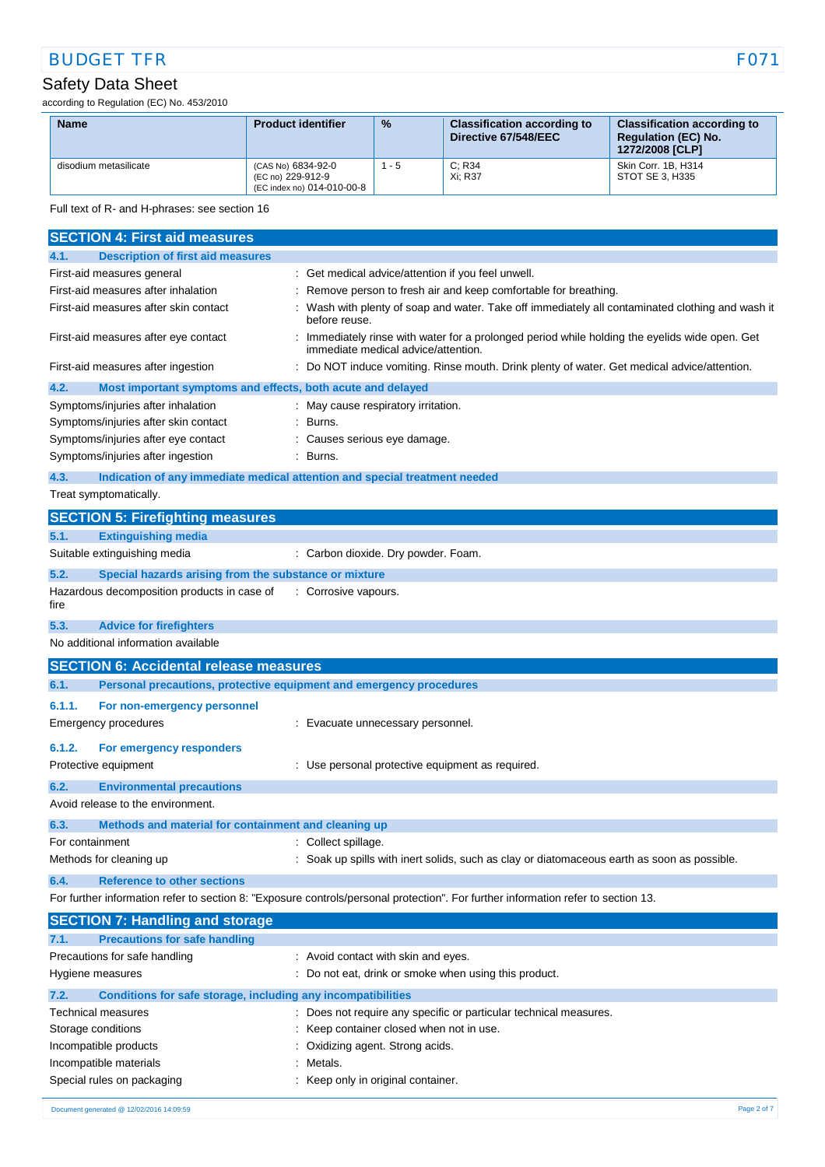## BUDGET TFR FO71

## Safety Data Sheet

according to Regulation (EC) No. 453/2010

| <b>Name</b>           | <b>Product identifier</b>                                             | $\frac{9}{6}$ | <b>Classification according to</b><br>Directive 67/548/EEC | <b>Classification according to</b><br><b>Requlation (EC) No.</b><br>1272/2008 [CLP] |
|-----------------------|-----------------------------------------------------------------------|---------------|------------------------------------------------------------|-------------------------------------------------------------------------------------|
| disodium metasilicate | (CAS No) 6834-92-0<br>(EC no) 229-912-9<br>(EC index no) 014-010-00-8 | - 5           | C: R34<br>Xi: R37                                          | Skin Corr. 1B. H314<br>STOT SE 3. H335                                              |

Full text of R- and H-phrases: see section 16

| <b>SECTION 4: First aid measures</b>                                 |                                                                                                                                     |
|----------------------------------------------------------------------|-------------------------------------------------------------------------------------------------------------------------------------|
| <b>Description of first aid measures</b><br>4.1.                     |                                                                                                                                     |
| First-aid measures general                                           | Get medical advice/attention if you feel unwell.                                                                                    |
| First-aid measures after inhalation                                  | Remove person to fresh air and keep comfortable for breathing.                                                                      |
| First-aid measures after skin contact                                | Wash with plenty of soap and water. Take off immediately all contaminated clothing and wash it<br>before reuse.                     |
| First-aid measures after eye contact                                 | Immediately rinse with water for a prolonged period while holding the eyelids wide open. Get<br>immediate medical advice/attention. |
| First-aid measures after ingestion                                   | Do NOT induce vomiting. Rinse mouth. Drink plenty of water. Get medical advice/attention.                                           |
| 4.2.<br>Most important symptoms and effects, both acute and delayed  |                                                                                                                                     |
| Symptoms/injuries after inhalation                                   | : May cause respiratory irritation.                                                                                                 |
| Symptoms/injuries after skin contact                                 | : Burns.                                                                                                                            |
| Symptoms/injuries after eye contact                                  | Causes serious eye damage.                                                                                                          |
| Symptoms/injuries after ingestion                                    | Burns.                                                                                                                              |
| 4.3.                                                                 | Indication of any immediate medical attention and special treatment needed                                                          |
| Treat symptomatically.                                               |                                                                                                                                     |
| <b>SECTION 5: Firefighting measures</b>                              |                                                                                                                                     |
| <b>Extinguishing media</b><br>5.1.                                   |                                                                                                                                     |
| Suitable extinguishing media                                         | : Carbon dioxide. Dry powder. Foam.                                                                                                 |
| 5.2.<br>Special hazards arising from the substance or mixture        |                                                                                                                                     |
| Hazardous decomposition products in case of<br>fire                  | : Corrosive vapours.                                                                                                                |
| 5.3.<br><b>Advice for firefighters</b>                               |                                                                                                                                     |
| No additional information available                                  |                                                                                                                                     |
|                                                                      |                                                                                                                                     |
| <b>SECTION 6: Accidental release measures</b>                        |                                                                                                                                     |
| 6.1.                                                                 | Personal precautions, protective equipment and emergency procedures                                                                 |
| 6.1.1.<br>For non-emergency personnel                                |                                                                                                                                     |
| Emergency procedures                                                 | Evacuate unnecessary personnel.                                                                                                     |
| 6.1.2.<br>For emergency responders                                   |                                                                                                                                     |
| Protective equipment                                                 | Use personal protective equipment as required.                                                                                      |
| 6.2.<br><b>Environmental precautions</b>                             |                                                                                                                                     |
| Avoid release to the environment.                                    |                                                                                                                                     |
| 6.3.<br>Methods and material for containment and cleaning up         |                                                                                                                                     |
| For containment                                                      | : Collect spillage.                                                                                                                 |
| Methods for cleaning up                                              | : Soak up spills with inert solids, such as clay or diatomaceous earth as soon as possible.                                         |
|                                                                      |                                                                                                                                     |
| <b>Reference to other sections</b><br>6.4.                           |                                                                                                                                     |
| <b>SECTION 7: Handling and storage</b>                               | For further information refer to section 8: "Exposure controls/personal protection". For further information refer to section 13.   |
| <b>Precautions for safe handling</b><br>7.1.                         |                                                                                                                                     |
| Precautions for safe handling                                        | Avoid contact with skin and eyes.                                                                                                   |
| Hygiene measures                                                     | Do not eat, drink or smoke when using this product.                                                                                 |
| Conditions for safe storage, including any incompatibilities<br>7.2. |                                                                                                                                     |
| Technical measures                                                   | : Does not require any specific or particular technical measures.                                                                   |
| Storage conditions                                                   | : Keep container closed when not in use.                                                                                            |
| Incompatible products                                                | Oxidizing agent. Strong acids.                                                                                                      |

#### Special rules on packaging **in the case of the CO** is Keep only in original container.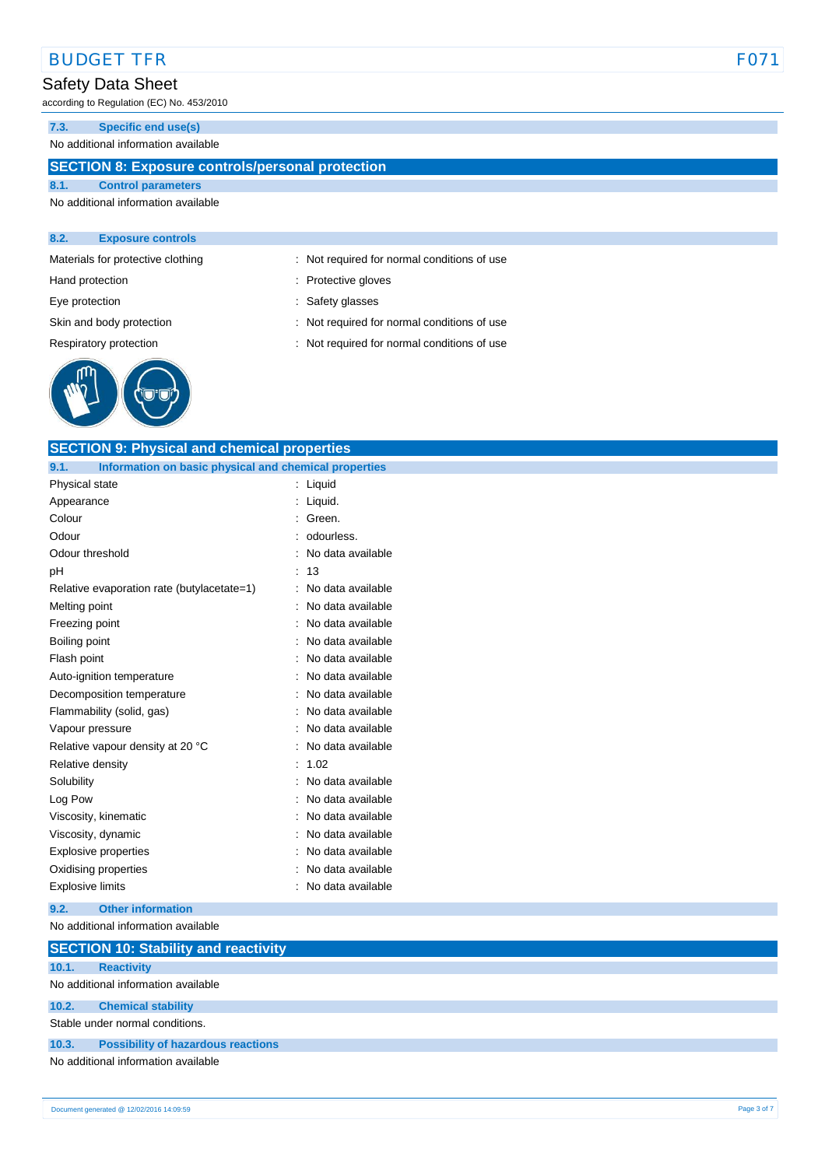### BUDGET TFR FOTA THE SERVICE OF THE SERVICE OF THE SERVICE OF THE SERVICE OF THE SERVICE OF THE SERVICE OF THE SERVICE OF THE SERVICE OF THE SERVICE OF THE SERVICE OF THE SERVICE OF THE SERVICE OF THE SERVICE OF THE SERVICE

#### Safety Data Sheet

according to Regulation (EC) No. 453/2010

#### **7.3. Specific end use(s)**

No additional information available

#### **SECTION 8: Exposure controls/personal protection**

**SECTION 9: Physical and chemical properties**

#### **8.1. Control parameters** No additional information available

#### **8.2. Exposure controls**

Materials for protective clothing : Not required for normal conditions of use

Hand protection **in the case of the contract of the contract of the contract of the contract of the contract of the contract of the contract of the contract of the contract of the contract of the contract of the contract o** 

Eye protection  $\qquad \qquad$ : Safety glasses

Skin and body protection : Not required for normal conditions of use

Respiratory protection : Not required for normal conditions of use



| 9.1.<br>Information on basic physical and chemical properties |                        |
|---------------------------------------------------------------|------------------------|
| Physical state                                                | : Liquid               |
| Appearance                                                    | Liquid.                |
| Colour                                                        | Green.                 |
| Odour                                                         | odourless.             |
| Odour threshold                                               | No data available      |
| pH                                                            | : 13                   |
| Relative evaporation rate (butylacetate=1)                    | No data available      |
| Melting point                                                 | No data available      |
| Freezing point                                                | No data available<br>÷ |
| Boiling point                                                 | No data available      |
| Flash point                                                   | No data available      |
| Auto-ignition temperature                                     | No data available      |
| Decomposition temperature                                     | No data available      |
| Flammability (solid, gas)                                     | No data available      |
| Vapour pressure                                               | No data available      |
| Relative vapour density at 20 °C                              | No data available      |
| Relative density                                              | : 1.02                 |
| Solubility                                                    | No data available      |
| Log Pow                                                       | No data available      |
| Viscosity, kinematic                                          | No data available      |
| Viscosity, dynamic                                            | No data available      |
| Explosive properties                                          | No data available      |
| Oxidising properties                                          | No data available      |
| <b>Explosive limits</b>                                       | No data available      |
| 9.2.<br><b>Other information</b>                              |                        |
| No additional information available                           |                        |
| <b>SECTION 10: Stability and reactivity</b>                   |                        |
| 10.1.<br><b>Reactivity</b>                                    |                        |
| No additional information available                           |                        |
| 10.2.<br><b>Chemical stability</b>                            |                        |
|                                                               |                        |

Stable under normal conditions.

#### **10.3. Possibility of hazardous reactions**

No additional information available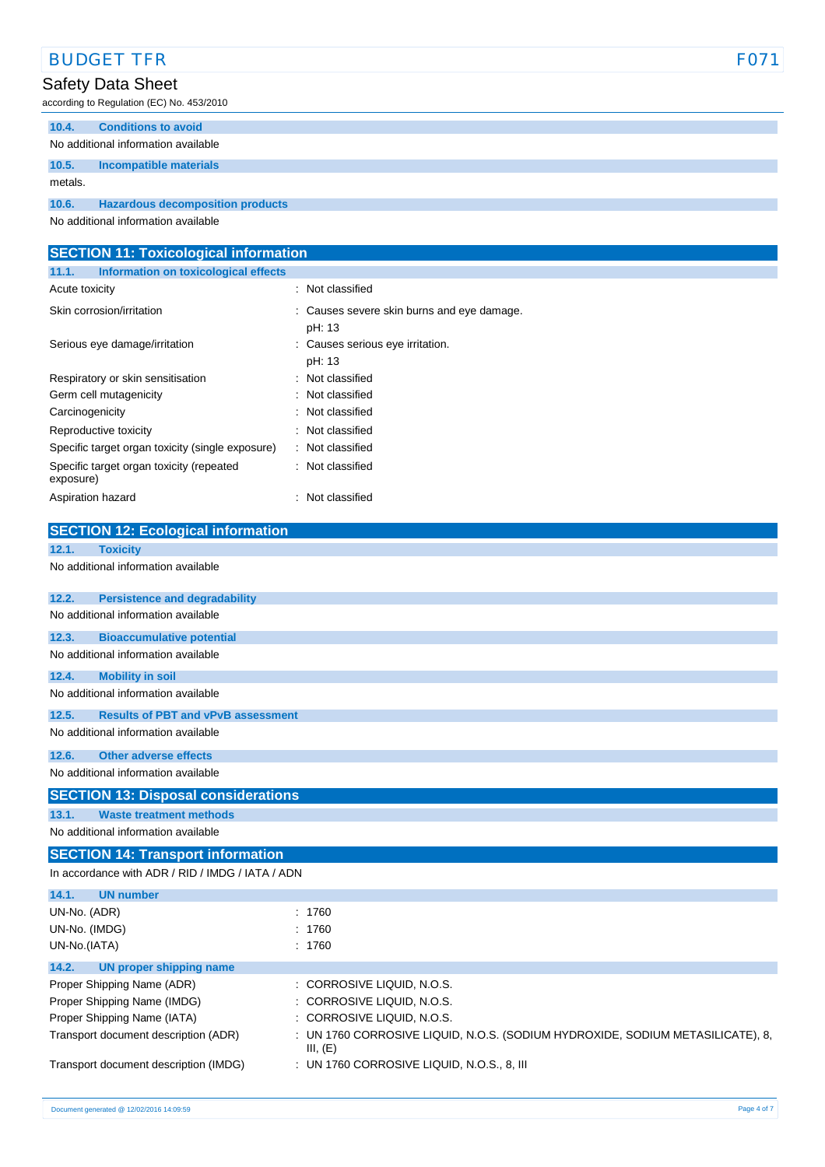| <b>BUDGET TFR</b>                                    | F071                                                                           |
|------------------------------------------------------|--------------------------------------------------------------------------------|
| Safety Data Sheet                                    |                                                                                |
| according to Regulation (EC) No. 453/2010            |                                                                                |
| 10.4.<br><b>Conditions to avoid</b>                  |                                                                                |
| No additional information available                  |                                                                                |
| 10.5.<br><b>Incompatible materials</b>               |                                                                                |
| metals.                                              |                                                                                |
| 10.6.<br><b>Hazardous decomposition products</b>     |                                                                                |
| No additional information available                  |                                                                                |
|                                                      |                                                                                |
| <b>SECTION 11: Toxicological information</b>         |                                                                                |
| 11.1.<br><b>Information on toxicological effects</b> |                                                                                |
| Acute toxicity                                       | : Not classified                                                               |
| Skin corrosion/irritation                            | : Causes severe skin burns and eye damage.                                     |
|                                                      | pH: 13                                                                         |
| Serious eye damage/irritation                        | Causes serious eye irritation.                                                 |
| Respiratory or skin sensitisation                    | pH: 13<br>Not classified                                                       |
| Germ cell mutagenicity                               | Not classified                                                                 |
| Carcinogenicity                                      | Not classified                                                                 |
| Reproductive toxicity                                | Not classified                                                                 |
| Specific target organ toxicity (single exposure)     | Not classified                                                                 |
| Specific target organ toxicity (repeated             | Not classified                                                                 |
| exposure)                                            |                                                                                |
| Aspiration hazard                                    | : Not classified                                                               |
| <b>SECTION 12: Ecological information</b>            |                                                                                |
| 12.1.<br><b>Toxicity</b>                             |                                                                                |
| No additional information available                  |                                                                                |
|                                                      |                                                                                |
| 12.2.<br><b>Persistence and degradability</b>        |                                                                                |
| No additional information available                  |                                                                                |
| 12.3.<br><b>Bioaccumulative potential</b>            |                                                                                |
| No additional information available                  |                                                                                |
| 12.4.<br><b>Mobility in soil</b>                     |                                                                                |
| No additional information available                  |                                                                                |
| <b>Results of PBT and vPvB assessment</b><br>12.5.   |                                                                                |
| No additional information available                  |                                                                                |
| 12.6.<br><b>Other adverse effects</b>                |                                                                                |
| No additional information available                  |                                                                                |
| <b>SECTION 13: Disposal considerations</b>           |                                                                                |
| <b>Waste treatment methods</b><br>13.1.              |                                                                                |
| No additional information available                  |                                                                                |
| <b>SECTION 14: Transport information</b>             |                                                                                |
| In accordance with ADR / RID / IMDG / IATA / ADN     |                                                                                |
| 14.1.<br><b>UN number</b>                            |                                                                                |
| UN-No. (ADR)                                         | : 1760                                                                         |
| UN-No. (IMDG)                                        | : 1760                                                                         |
| UN-No.(IATA)                                         | : 1760                                                                         |
| 14.2.<br><b>UN proper shipping name</b>              |                                                                                |
| Proper Shipping Name (ADR)                           | : CORROSIVE LIQUID, N.O.S.                                                     |
| Proper Shipping Name (IMDG)                          | : CORROSIVE LIQUID, N.O.S.                                                     |
| Proper Shipping Name (IATA)                          | CORROSIVE LIQUID, N.O.S.                                                       |
| Transport document description (ADR)                 | : UN 1760 CORROSIVE LIQUID, N.O.S. (SODIUM HYDROXIDE, SODIUM METASILICATE), 8, |
| Transport document description (IMDG)                | III, (E)<br>: UN 1760 CORROSIVE LIQUID, N.O.S., 8, III                         |
|                                                      |                                                                                |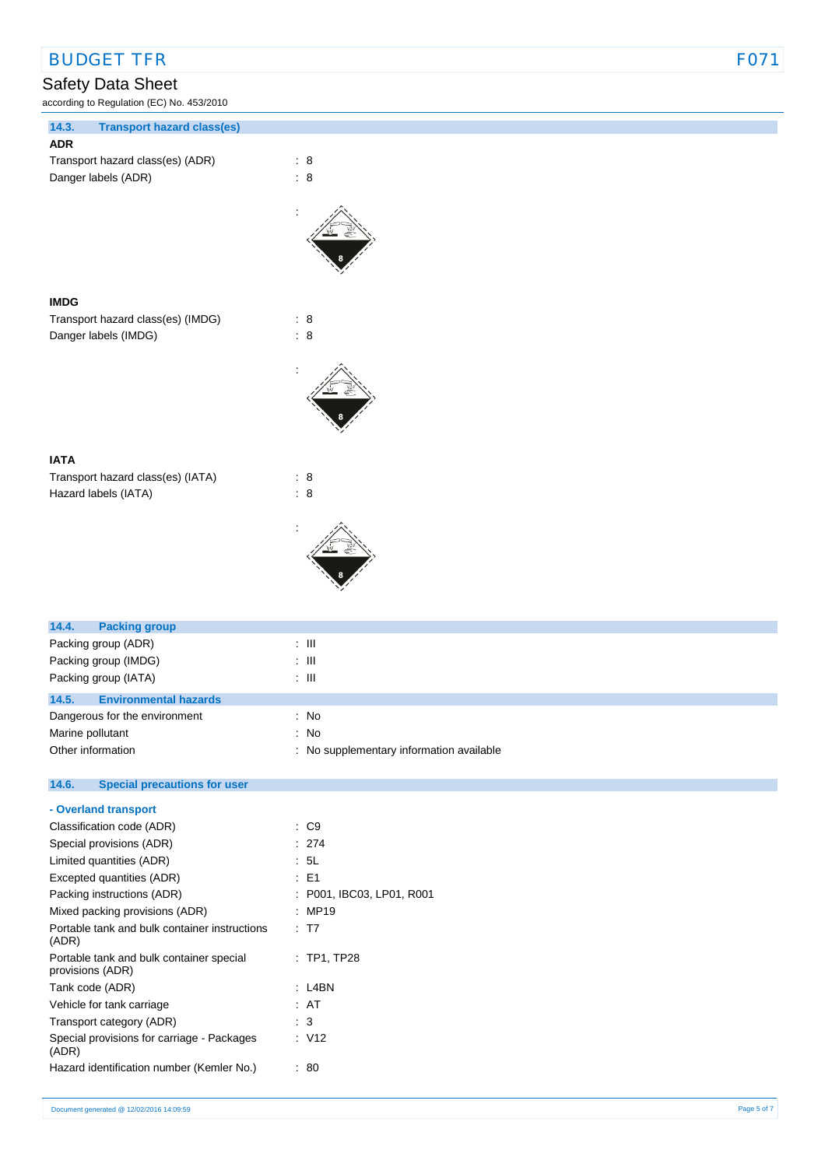## BUDGET TFR FO71

## Safety Data Sheet

according to Regulation (EC) No. 453/2010

| 14.3.<br><b>Transport hazard class(es)</b> |                |
|--------------------------------------------|----------------|
| <b>ADR</b>                                 |                |
| Transport hazard class(es) (ADR)           | : 8            |
| Danger labels (ADR)                        | $\therefore$ 8 |
|                                            |                |
|                                            |                |
| <b>IMDG</b>                                |                |
| Transport hazard class(es) (IMDG)          | $\therefore$ 8 |
| Danger labels (IMDG)                       | : 8            |
|                                            |                |
|                                            |                |
| <b>IATA</b>                                |                |
| Transport hazard class(es) (IATA)          | $\therefore$ 8 |
| Hazard labels (IATA)                       | $\therefore$ 8 |
|                                            |                |
| 14.4.<br><b>Packing group</b>              |                |
| Packing group (ADR)                        | $\lesssim 10$  |
| Packing group (IMDG)                       | $\lesssim 10$  |
| Packing group (IATA)                       | $\colon$ III   |
| 14.5.<br><b>Environmental hazards</b>      |                |

| 14.5.             | <b>Environmental hazards</b>  |                                          |
|-------------------|-------------------------------|------------------------------------------|
|                   | Dangerous for the environment | : No                                     |
| Marine pollutant  |                               | : No                                     |
| Other information |                               | : No supplementary information available |

| 14.6. | <b>Special precautions for user</b> |  |
|-------|-------------------------------------|--|
|       |                                     |  |

| - Overland transport                                         |                           |  |
|--------------------------------------------------------------|---------------------------|--|
| Classification code (ADR)                                    | $\cdot$ C9                |  |
| Special provisions (ADR)                                     | : 274                     |  |
| Limited quantities (ADR)                                     | : 5L                      |  |
| Excepted quantities (ADR)                                    | : E1                      |  |
| Packing instructions (ADR)                                   | : P001, IBC03, LP01, R001 |  |
| Mixed packing provisions (ADR)                               | : MP19                    |  |
| Portable tank and bulk container instructions<br>(ADR)       | : T7                      |  |
| Portable tank and bulk container special<br>provisions (ADR) | $:$ TP1, TP28             |  |
| Tank code (ADR)                                              | : L4BN                    |  |
| Vehicle for tank carriage                                    | : AT                      |  |
| Transport category (ADR)                                     | : 3                       |  |
| Special provisions for carriage - Packages<br>(ADR)          | : V12                     |  |
| Hazard identification number (Kemler No.)                    | : 80                      |  |
|                                                              |                           |  |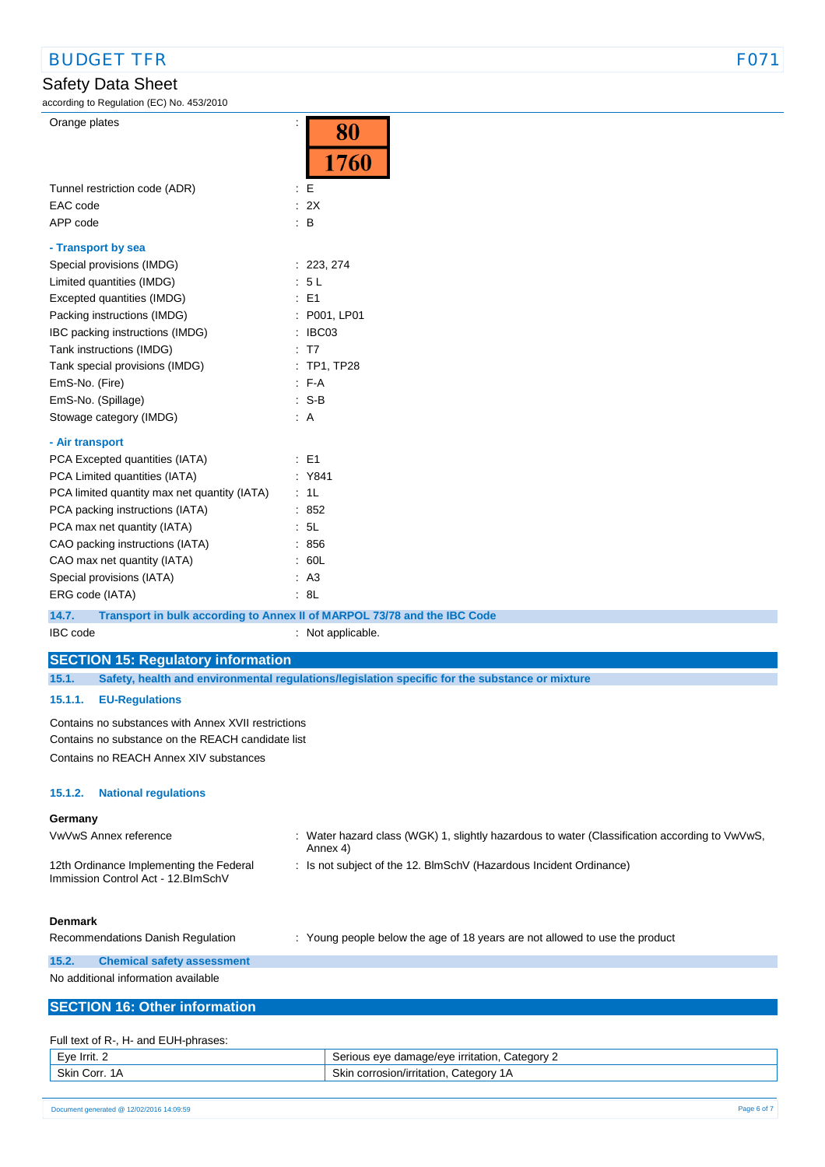### Safety Data Sheet

according to Regulation (EC) No. 453/2010

| E<br>Tunnel restriction code (ADR)<br>: 2X<br>EAC code<br>$\therefore$ B<br>APP code<br>- Transport by sea<br>Special provisions (IMDG)<br>: 223, 274<br>Limited quantities (IMDG)<br>: 5L<br>Excepted quantities (IMDG)<br>$\therefore$ E1<br>Packing instructions (IMDG)<br>: P001, LP01<br>IBC packing instructions (IMDG)<br>: IBC03<br>Tank instructions (IMDG)<br>: T7<br>Tank special provisions (IMDG)<br>: TP1, TP28<br>EmS-No. (Fire)<br>$F-A$<br>$: S-B$<br>EmS-No. (Spillage)<br>Stowage category (IMDG)<br>: A<br>- Air transport<br>PCA Excepted quantities (IATA)<br>$\pm$ E1<br>PCA Limited quantities (IATA)<br>: Y841<br>PCA limited quantity max net quantity (IATA)<br>: 1L<br>PCA packing instructions (IATA)<br>.852<br>PCA max net quantity (IATA)<br>: 5L<br>CAO packing instructions (IATA)<br>.856<br>CAO max net quantity (IATA)<br>: 60L<br>Special provisions (IATA)<br>AA3<br>: 8L<br>ERG code (IATA)<br>14.7.<br>Transport in bulk according to Annex II of MARPOL 73/78 and the IBC Code<br>IBC code<br>: Not applicable.<br><b>SECTION 15: Regulatory information</b><br>15.1.<br>Safety, health and environmental regulations/legislation specific for the substance or mixture<br>15.1.1.<br><b>EU-Regulations</b><br>Contains no substances with Annex XVII restrictions<br>Contains no substance on the REACH candidate list<br>Contains no REACH Annex XIV substances<br>15.1.2.<br><b>National regulations</b><br>Germany<br>VwVwS Annex reference<br>: Water hazard class (WGK) 1, slightly hazardous to water (Classification according to VwVwS,<br>Annex 4)<br>: Is not subject of the 12. BlmSchV (Hazardous Incident Ordinance)<br>12th Ordinance Implementing the Federal<br>Immission Control Act - 12. BlmSchV<br><b>Denmark</b><br>Recommendations Danish Regulation<br>: Young people below the age of 18 years are not allowed to use the product<br>15.2.<br><b>Chemical safety assessment</b><br>No additional information available | Orange plates                        | 80<br>1760 |
|-------------------------------------------------------------------------------------------------------------------------------------------------------------------------------------------------------------------------------------------------------------------------------------------------------------------------------------------------------------------------------------------------------------------------------------------------------------------------------------------------------------------------------------------------------------------------------------------------------------------------------------------------------------------------------------------------------------------------------------------------------------------------------------------------------------------------------------------------------------------------------------------------------------------------------------------------------------------------------------------------------------------------------------------------------------------------------------------------------------------------------------------------------------------------------------------------------------------------------------------------------------------------------------------------------------------------------------------------------------------------------------------------------------------------------------------------------------------------------------------------------------------------------------------------------------------------------------------------------------------------------------------------------------------------------------------------------------------------------------------------------------------------------------------------------------------------------------------------------------------------------------------------------------------------------------------------------------------------------------------|--------------------------------------|------------|
|                                                                                                                                                                                                                                                                                                                                                                                                                                                                                                                                                                                                                                                                                                                                                                                                                                                                                                                                                                                                                                                                                                                                                                                                                                                                                                                                                                                                                                                                                                                                                                                                                                                                                                                                                                                                                                                                                                                                                                                           |                                      |            |
|                                                                                                                                                                                                                                                                                                                                                                                                                                                                                                                                                                                                                                                                                                                                                                                                                                                                                                                                                                                                                                                                                                                                                                                                                                                                                                                                                                                                                                                                                                                                                                                                                                                                                                                                                                                                                                                                                                                                                                                           |                                      |            |
|                                                                                                                                                                                                                                                                                                                                                                                                                                                                                                                                                                                                                                                                                                                                                                                                                                                                                                                                                                                                                                                                                                                                                                                                                                                                                                                                                                                                                                                                                                                                                                                                                                                                                                                                                                                                                                                                                                                                                                                           |                                      |            |
|                                                                                                                                                                                                                                                                                                                                                                                                                                                                                                                                                                                                                                                                                                                                                                                                                                                                                                                                                                                                                                                                                                                                                                                                                                                                                                                                                                                                                                                                                                                                                                                                                                                                                                                                                                                                                                                                                                                                                                                           |                                      |            |
|                                                                                                                                                                                                                                                                                                                                                                                                                                                                                                                                                                                                                                                                                                                                                                                                                                                                                                                                                                                                                                                                                                                                                                                                                                                                                                                                                                                                                                                                                                                                                                                                                                                                                                                                                                                                                                                                                                                                                                                           |                                      |            |
|                                                                                                                                                                                                                                                                                                                                                                                                                                                                                                                                                                                                                                                                                                                                                                                                                                                                                                                                                                                                                                                                                                                                                                                                                                                                                                                                                                                                                                                                                                                                                                                                                                                                                                                                                                                                                                                                                                                                                                                           |                                      |            |
|                                                                                                                                                                                                                                                                                                                                                                                                                                                                                                                                                                                                                                                                                                                                                                                                                                                                                                                                                                                                                                                                                                                                                                                                                                                                                                                                                                                                                                                                                                                                                                                                                                                                                                                                                                                                                                                                                                                                                                                           |                                      |            |
|                                                                                                                                                                                                                                                                                                                                                                                                                                                                                                                                                                                                                                                                                                                                                                                                                                                                                                                                                                                                                                                                                                                                                                                                                                                                                                                                                                                                                                                                                                                                                                                                                                                                                                                                                                                                                                                                                                                                                                                           |                                      |            |
|                                                                                                                                                                                                                                                                                                                                                                                                                                                                                                                                                                                                                                                                                                                                                                                                                                                                                                                                                                                                                                                                                                                                                                                                                                                                                                                                                                                                                                                                                                                                                                                                                                                                                                                                                                                                                                                                                                                                                                                           |                                      |            |
|                                                                                                                                                                                                                                                                                                                                                                                                                                                                                                                                                                                                                                                                                                                                                                                                                                                                                                                                                                                                                                                                                                                                                                                                                                                                                                                                                                                                                                                                                                                                                                                                                                                                                                                                                                                                                                                                                                                                                                                           |                                      |            |
|                                                                                                                                                                                                                                                                                                                                                                                                                                                                                                                                                                                                                                                                                                                                                                                                                                                                                                                                                                                                                                                                                                                                                                                                                                                                                                                                                                                                                                                                                                                                                                                                                                                                                                                                                                                                                                                                                                                                                                                           |                                      |            |
|                                                                                                                                                                                                                                                                                                                                                                                                                                                                                                                                                                                                                                                                                                                                                                                                                                                                                                                                                                                                                                                                                                                                                                                                                                                                                                                                                                                                                                                                                                                                                                                                                                                                                                                                                                                                                                                                                                                                                                                           |                                      |            |
|                                                                                                                                                                                                                                                                                                                                                                                                                                                                                                                                                                                                                                                                                                                                                                                                                                                                                                                                                                                                                                                                                                                                                                                                                                                                                                                                                                                                                                                                                                                                                                                                                                                                                                                                                                                                                                                                                                                                                                                           |                                      |            |
|                                                                                                                                                                                                                                                                                                                                                                                                                                                                                                                                                                                                                                                                                                                                                                                                                                                                                                                                                                                                                                                                                                                                                                                                                                                                                                                                                                                                                                                                                                                                                                                                                                                                                                                                                                                                                                                                                                                                                                                           |                                      |            |
|                                                                                                                                                                                                                                                                                                                                                                                                                                                                                                                                                                                                                                                                                                                                                                                                                                                                                                                                                                                                                                                                                                                                                                                                                                                                                                                                                                                                                                                                                                                                                                                                                                                                                                                                                                                                                                                                                                                                                                                           |                                      |            |
|                                                                                                                                                                                                                                                                                                                                                                                                                                                                                                                                                                                                                                                                                                                                                                                                                                                                                                                                                                                                                                                                                                                                                                                                                                                                                                                                                                                                                                                                                                                                                                                                                                                                                                                                                                                                                                                                                                                                                                                           |                                      |            |
|                                                                                                                                                                                                                                                                                                                                                                                                                                                                                                                                                                                                                                                                                                                                                                                                                                                                                                                                                                                                                                                                                                                                                                                                                                                                                                                                                                                                                                                                                                                                                                                                                                                                                                                                                                                                                                                                                                                                                                                           |                                      |            |
|                                                                                                                                                                                                                                                                                                                                                                                                                                                                                                                                                                                                                                                                                                                                                                                                                                                                                                                                                                                                                                                                                                                                                                                                                                                                                                                                                                                                                                                                                                                                                                                                                                                                                                                                                                                                                                                                                                                                                                                           |                                      |            |
|                                                                                                                                                                                                                                                                                                                                                                                                                                                                                                                                                                                                                                                                                                                                                                                                                                                                                                                                                                                                                                                                                                                                                                                                                                                                                                                                                                                                                                                                                                                                                                                                                                                                                                                                                                                                                                                                                                                                                                                           |                                      |            |
|                                                                                                                                                                                                                                                                                                                                                                                                                                                                                                                                                                                                                                                                                                                                                                                                                                                                                                                                                                                                                                                                                                                                                                                                                                                                                                                                                                                                                                                                                                                                                                                                                                                                                                                                                                                                                                                                                                                                                                                           |                                      |            |
|                                                                                                                                                                                                                                                                                                                                                                                                                                                                                                                                                                                                                                                                                                                                                                                                                                                                                                                                                                                                                                                                                                                                                                                                                                                                                                                                                                                                                                                                                                                                                                                                                                                                                                                                                                                                                                                                                                                                                                                           |                                      |            |
|                                                                                                                                                                                                                                                                                                                                                                                                                                                                                                                                                                                                                                                                                                                                                                                                                                                                                                                                                                                                                                                                                                                                                                                                                                                                                                                                                                                                                                                                                                                                                                                                                                                                                                                                                                                                                                                                                                                                                                                           |                                      |            |
|                                                                                                                                                                                                                                                                                                                                                                                                                                                                                                                                                                                                                                                                                                                                                                                                                                                                                                                                                                                                                                                                                                                                                                                                                                                                                                                                                                                                                                                                                                                                                                                                                                                                                                                                                                                                                                                                                                                                                                                           |                                      |            |
|                                                                                                                                                                                                                                                                                                                                                                                                                                                                                                                                                                                                                                                                                                                                                                                                                                                                                                                                                                                                                                                                                                                                                                                                                                                                                                                                                                                                                                                                                                                                                                                                                                                                                                                                                                                                                                                                                                                                                                                           |                                      |            |
|                                                                                                                                                                                                                                                                                                                                                                                                                                                                                                                                                                                                                                                                                                                                                                                                                                                                                                                                                                                                                                                                                                                                                                                                                                                                                                                                                                                                                                                                                                                                                                                                                                                                                                                                                                                                                                                                                                                                                                                           |                                      |            |
|                                                                                                                                                                                                                                                                                                                                                                                                                                                                                                                                                                                                                                                                                                                                                                                                                                                                                                                                                                                                                                                                                                                                                                                                                                                                                                                                                                                                                                                                                                                                                                                                                                                                                                                                                                                                                                                                                                                                                                                           |                                      |            |
|                                                                                                                                                                                                                                                                                                                                                                                                                                                                                                                                                                                                                                                                                                                                                                                                                                                                                                                                                                                                                                                                                                                                                                                                                                                                                                                                                                                                                                                                                                                                                                                                                                                                                                                                                                                                                                                                                                                                                                                           |                                      |            |
|                                                                                                                                                                                                                                                                                                                                                                                                                                                                                                                                                                                                                                                                                                                                                                                                                                                                                                                                                                                                                                                                                                                                                                                                                                                                                                                                                                                                                                                                                                                                                                                                                                                                                                                                                                                                                                                                                                                                                                                           |                                      |            |
|                                                                                                                                                                                                                                                                                                                                                                                                                                                                                                                                                                                                                                                                                                                                                                                                                                                                                                                                                                                                                                                                                                                                                                                                                                                                                                                                                                                                                                                                                                                                                                                                                                                                                                                                                                                                                                                                                                                                                                                           |                                      |            |
|                                                                                                                                                                                                                                                                                                                                                                                                                                                                                                                                                                                                                                                                                                                                                                                                                                                                                                                                                                                                                                                                                                                                                                                                                                                                                                                                                                                                                                                                                                                                                                                                                                                                                                                                                                                                                                                                                                                                                                                           |                                      |            |
|                                                                                                                                                                                                                                                                                                                                                                                                                                                                                                                                                                                                                                                                                                                                                                                                                                                                                                                                                                                                                                                                                                                                                                                                                                                                                                                                                                                                                                                                                                                                                                                                                                                                                                                                                                                                                                                                                                                                                                                           |                                      |            |
|                                                                                                                                                                                                                                                                                                                                                                                                                                                                                                                                                                                                                                                                                                                                                                                                                                                                                                                                                                                                                                                                                                                                                                                                                                                                                                                                                                                                                                                                                                                                                                                                                                                                                                                                                                                                                                                                                                                                                                                           |                                      |            |
|                                                                                                                                                                                                                                                                                                                                                                                                                                                                                                                                                                                                                                                                                                                                                                                                                                                                                                                                                                                                                                                                                                                                                                                                                                                                                                                                                                                                                                                                                                                                                                                                                                                                                                                                                                                                                                                                                                                                                                                           |                                      |            |
|                                                                                                                                                                                                                                                                                                                                                                                                                                                                                                                                                                                                                                                                                                                                                                                                                                                                                                                                                                                                                                                                                                                                                                                                                                                                                                                                                                                                                                                                                                                                                                                                                                                                                                                                                                                                                                                                                                                                                                                           |                                      |            |
|                                                                                                                                                                                                                                                                                                                                                                                                                                                                                                                                                                                                                                                                                                                                                                                                                                                                                                                                                                                                                                                                                                                                                                                                                                                                                                                                                                                                                                                                                                                                                                                                                                                                                                                                                                                                                                                                                                                                                                                           |                                      |            |
|                                                                                                                                                                                                                                                                                                                                                                                                                                                                                                                                                                                                                                                                                                                                                                                                                                                                                                                                                                                                                                                                                                                                                                                                                                                                                                                                                                                                                                                                                                                                                                                                                                                                                                                                                                                                                                                                                                                                                                                           |                                      |            |
|                                                                                                                                                                                                                                                                                                                                                                                                                                                                                                                                                                                                                                                                                                                                                                                                                                                                                                                                                                                                                                                                                                                                                                                                                                                                                                                                                                                                                                                                                                                                                                                                                                                                                                                                                                                                                                                                                                                                                                                           |                                      |            |
|                                                                                                                                                                                                                                                                                                                                                                                                                                                                                                                                                                                                                                                                                                                                                                                                                                                                                                                                                                                                                                                                                                                                                                                                                                                                                                                                                                                                                                                                                                                                                                                                                                                                                                                                                                                                                                                                                                                                                                                           |                                      |            |
|                                                                                                                                                                                                                                                                                                                                                                                                                                                                                                                                                                                                                                                                                                                                                                                                                                                                                                                                                                                                                                                                                                                                                                                                                                                                                                                                                                                                                                                                                                                                                                                                                                                                                                                                                                                                                                                                                                                                                                                           |                                      |            |
|                                                                                                                                                                                                                                                                                                                                                                                                                                                                                                                                                                                                                                                                                                                                                                                                                                                                                                                                                                                                                                                                                                                                                                                                                                                                                                                                                                                                                                                                                                                                                                                                                                                                                                                                                                                                                                                                                                                                                                                           |                                      |            |
|                                                                                                                                                                                                                                                                                                                                                                                                                                                                                                                                                                                                                                                                                                                                                                                                                                                                                                                                                                                                                                                                                                                                                                                                                                                                                                                                                                                                                                                                                                                                                                                                                                                                                                                                                                                                                                                                                                                                                                                           | <b>SECTION 16: Other information</b> |            |

#### Full text of R-, H- and EUH-phrases:

| -ve<br>Irrit.<br>-                 | damage/eve<br><u>irritation</u><br>Category<br>ierious<br>eve                            |
|------------------------------------|------------------------------------------------------------------------------------------|
| Skin<br>≅Corr.<br>$\Delta$<br>. IM | Category<br>. corrosion/irritation ا<br>$\mathbf{r}$<br>الحات<br>$\cdot$ $\cdot$ $\cdot$ |